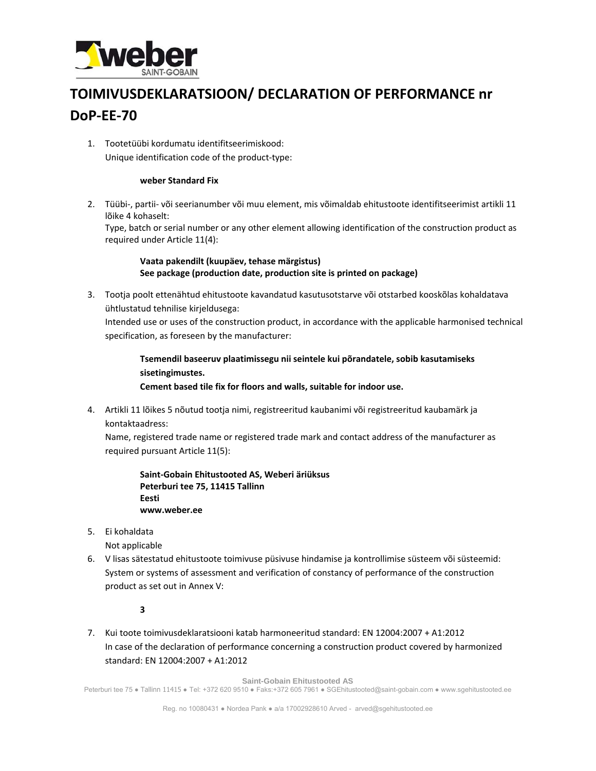

## **TOIMIVUSDEKLARATSIOON/ DECLARATION OF PERFORMANCE nr DoP‐EE‐70**

1. Tootetüübi kordumatu identifitseerimiskood: Unique identification code of the product‐type:

## **weber Standard Fix**

2. Tüübi-, partii- või seerianumber või muu element, mis võimaldab ehitustoote identifitseerimist artikli 11 lõike 4 kohaselt:

Type, batch or serial number or any other element allowing identification of the construction product as required under Article 11(4):

## **Vaata pakendilt (kuupäev, tehase märgistus) See package (production date, production site is printed on package)**

3. Tootja poolt ettenähtud ehitustoote kavandatud kasutusotstarve või otstarbed kooskõlas kohaldatava ühtlustatud tehnilise kirjeldusega:

Intended use or uses of the construction product, in accordance with the applicable harmonised technical specification, as foreseen by the manufacturer:

**Tsemendil baseeruv plaatimissegu nii seintele kui põrandatele, sobib kasutamiseks sisetingimustes.** 

**Cement based tile fix for floors and walls, suitable for indoor use.** 

4. Artikli 11 lõikes 5 nõutud tootja nimi, registreeritud kaubanimi või registreeritud kaubamärk ja kontaktaadress:

Name, registered trade name or registered trade mark and contact address of the manufacturer as required pursuant Article 11(5):

**Saint‐Gobain Ehitustooted AS, Weberi äriüksus Peterburi tee 75, 11415 Tallinn Eesti www.weber.ee**

5. Ei kohaldata

Not applicable

6. V lisas sätestatud ehitustoote toimivuse püsivuse hindamise ja kontrollimise süsteem või süsteemid: System or systems of assessment and verification of constancy of performance of the construction product as set out in Annex V:

**3**

7. Kui toote toimivusdeklaratsiooni katab harmoneeritud standard: EN 12004:2007 + A1:2012 In case of the declaration of performance concerning a construction product covered by harmonized standard: EN 12004:2007 + A1:2012

**Saint-Gobain Ehitustooted AS** 

Peterburi tee 75 ● Tallinn 11415 ● Tel: +372 620 9510 ● Faks:+372 605 7961 ● SGEhitustooted@saint-gobain.com ● www.sgehitustooted.ee